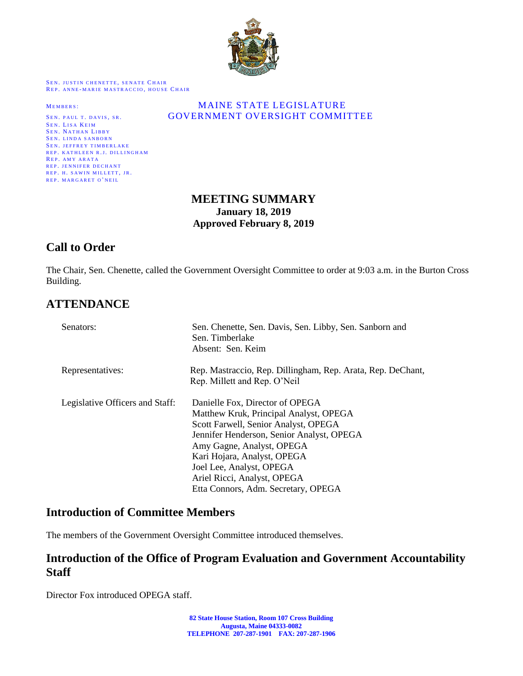

SEN. JUSTIN CHENETTE, SENATE CHAIR REP. ANNE-MARIE MASTRACCIO, HOUSE CHAIR

SEN. LISA KEIM SEN. NATHAN LIBBY SEN. LINDA SANBORN SEN. JEFFREY TIMBERLAKE REP. KATHLEEN R.J. DILLINGHAM REP. AMY ARATA REP. JENNIFER DECHANT REP. H. SAWIN MILLETT, JR. REP. MARGARET O'NEIL

#### MEMBERS: MAINE STATE LEGISLATURE SEN. PAUL T. DAVIS, SR. **GOVERNMENT OVERSIGHT COMMITTEE**

## **MEETING SUMMARY January 18, 2019 Approved February 8, 2019**

# **Call to Order**

The Chair, Sen. Chenette, called the Government Oversight Committee to order at 9:03 a.m. in the Burton Cross Building.

# **ATTENDANCE**

| Senators:                       | Sen. Chenette, Sen. Davis, Sen. Libby, Sen. Sanborn and<br>Sen. Timberlake<br>Absent: Sen. Keim                                                                                                                                                                                                                              |
|---------------------------------|------------------------------------------------------------------------------------------------------------------------------------------------------------------------------------------------------------------------------------------------------------------------------------------------------------------------------|
| Representatives:                | Rep. Mastraccio, Rep. Dillingham, Rep. Arata, Rep. DeChant,<br>Rep. Millett and Rep. O'Neil                                                                                                                                                                                                                                  |
| Legislative Officers and Staff: | Danielle Fox, Director of OPEGA<br>Matthew Kruk, Principal Analyst, OPEGA<br>Scott Farwell, Senior Analyst, OPEGA<br>Jennifer Henderson, Senior Analyst, OPEGA<br>Amy Gagne, Analyst, OPEGA<br>Kari Hojara, Analyst, OPEGA<br>Joel Lee, Analyst, OPEGA<br>Ariel Ricci, Analyst, OPEGA<br>Etta Connors, Adm. Secretary, OPEGA |

#### **Introduction of Committee Members**

The members of the Government Oversight Committee introduced themselves.

## **Introduction of the Office of Program Evaluation and Government Accountability Staff**

Director Fox introduced OPEGA staff.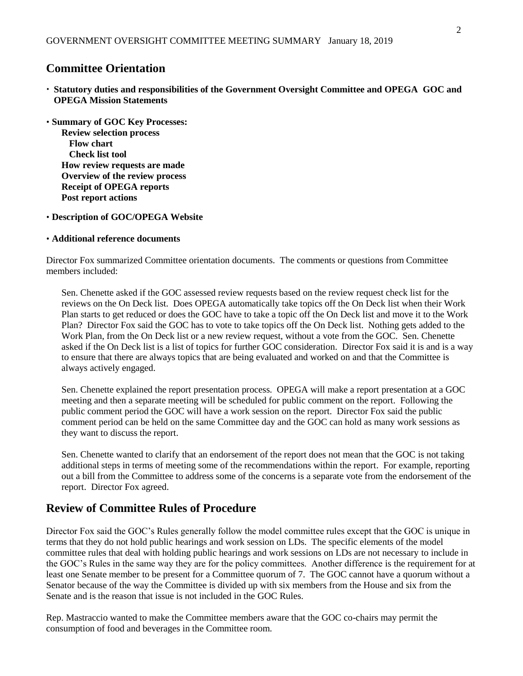## **Committee Orientation**

- **Statutory duties and responsibilities of the Government Oversight Committee and OPEGA GOC and OPEGA Mission Statements**
- **Summary of GOC Key Processes: Review selection process Flow chart Check list tool How review requests are made Overview of the review process Receipt of OPEGA reports Post report actions**
- **Description of GOC/OPEGA Website**

#### **Additional reference documents**

Director Fox summarized Committee orientation documents. The comments or questions from Committee members included:

Sen. Chenette asked if the GOC assessed review requests based on the review request check list for the reviews on the On Deck list. Does OPEGA automatically take topics off the On Deck list when their Work Plan starts to get reduced or does the GOC have to take a topic off the On Deck list and move it to the Work Plan? Director Fox said the GOC has to vote to take topics off the On Deck list. Nothing gets added to the Work Plan, from the On Deck list or a new review request, without a vote from the GOC. Sen. Chenette asked if the On Deck list is a list of topics for further GOC consideration. Director Fox said it is and is a way to ensure that there are always topics that are being evaluated and worked on and that the Committee is always actively engaged.

Sen. Chenette explained the report presentation process. OPEGA will make a report presentation at a GOC meeting and then a separate meeting will be scheduled for public comment on the report. Following the public comment period the GOC will have a work session on the report. Director Fox said the public comment period can be held on the same Committee day and the GOC can hold as many work sessions as they want to discuss the report.

Sen. Chenette wanted to clarify that an endorsement of the report does not mean that the GOC is not taking additional steps in terms of meeting some of the recommendations within the report. For example, reporting out a bill from the Committee to address some of the concerns is a separate vote from the endorsement of the report. Director Fox agreed.

## **Review of Committee Rules of Procedure**

Director Fox said the GOC's Rules generally follow the model committee rules except that the GOC is unique in terms that they do not hold public hearings and work session on LDs. The specific elements of the model committee rules that deal with holding public hearings and work sessions on LDs are not necessary to include in the GOC's Rules in the same way they are for the policy committees. Another difference is the requirement for at least one Senate member to be present for a Committee quorum of 7. The GOC cannot have a quorum without a Senator because of the way the Committee is divided up with six members from the House and six from the Senate and is the reason that issue is not included in the GOC Rules.

Rep. Mastraccio wanted to make the Committee members aware that the GOC co-chairs may permit the consumption of food and beverages in the Committee room.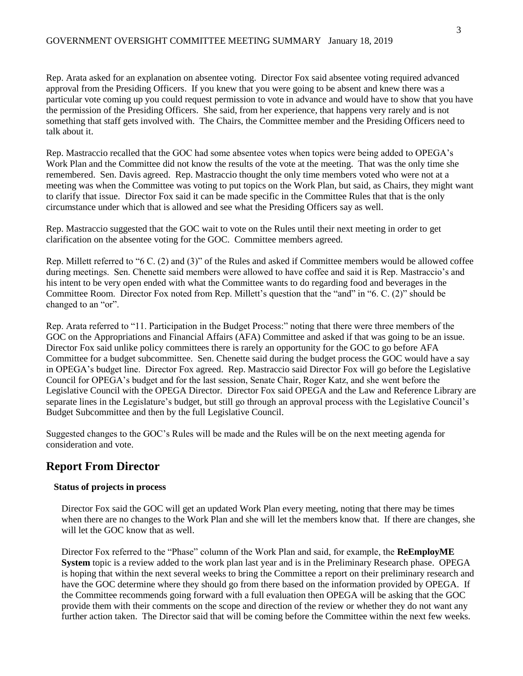Rep. Arata asked for an explanation on absentee voting. Director Fox said absentee voting required advanced approval from the Presiding Officers. If you knew that you were going to be absent and knew there was a particular vote coming up you could request permission to vote in advance and would have to show that you have the permission of the Presiding Officers. She said, from her experience, that happens very rarely and is not something that staff gets involved with. The Chairs, the Committee member and the Presiding Officers need to talk about it.

Rep. Mastraccio recalled that the GOC had some absentee votes when topics were being added to OPEGA's Work Plan and the Committee did not know the results of the vote at the meeting. That was the only time she remembered. Sen. Davis agreed. Rep. Mastraccio thought the only time members voted who were not at a meeting was when the Committee was voting to put topics on the Work Plan, but said, as Chairs, they might want to clarify that issue. Director Fox said it can be made specific in the Committee Rules that that is the only circumstance under which that is allowed and see what the Presiding Officers say as well.

Rep. Mastraccio suggested that the GOC wait to vote on the Rules until their next meeting in order to get clarification on the absentee voting for the GOC. Committee members agreed.

Rep. Millett referred to "6 C. (2) and (3)" of the Rules and asked if Committee members would be allowed coffee during meetings. Sen. Chenette said members were allowed to have coffee and said it is Rep. Mastraccio's and his intent to be very open ended with what the Committee wants to do regarding food and beverages in the Committee Room. Director Fox noted from Rep. Millett's question that the "and" in "6. C. (2)" should be changed to an "or".

Rep. Arata referred to "11. Participation in the Budget Process:" noting that there were three members of the GOC on the Appropriations and Financial Affairs (AFA) Committee and asked if that was going to be an issue. Director Fox said unlike policy committees there is rarely an opportunity for the GOC to go before AFA Committee for a budget subcommittee. Sen. Chenette said during the budget process the GOC would have a say in OPEGA's budget line. Director Fox agreed. Rep. Mastraccio said Director Fox will go before the Legislative Council for OPEGA's budget and for the last session, Senate Chair, Roger Katz, and she went before the Legislative Council with the OPEGA Director. Director Fox said OPEGA and the Law and Reference Library are separate lines in the Legislature's budget, but still go through an approval process with the Legislative Council's Budget Subcommittee and then by the full Legislative Council.

Suggested changes to the GOC's Rules will be made and the Rules will be on the next meeting agenda for consideration and vote.

#### **Report From Director**

#### **Status of projects in process**

Director Fox said the GOC will get an updated Work Plan every meeting, noting that there may be times when there are no changes to the Work Plan and she will let the members know that. If there are changes, she will let the GOC know that as well.

Director Fox referred to the "Phase" column of the Work Plan and said, for example, the **ReEmployME System** topic is a review added to the work plan last year and is in the Preliminary Research phase. OPEGA is hoping that within the next several weeks to bring the Committee a report on their preliminary research and have the GOC determine where they should go from there based on the information provided by OPEGA. If the Committee recommends going forward with a full evaluation then OPEGA will be asking that the GOC provide them with their comments on the scope and direction of the review or whether they do not want any further action taken. The Director said that will be coming before the Committee within the next few weeks.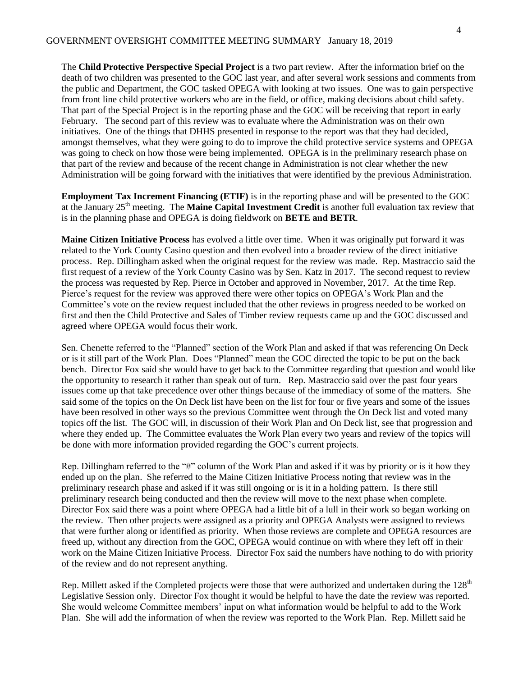The **Child Protective Perspective Special Project** is a two part review. After the information brief on the death of two children was presented to the GOC last year, and after several work sessions and comments from the public and Department, the GOC tasked OPEGA with looking at two issues. One was to gain perspective from front line child protective workers who are in the field, or office, making decisions about child safety. That part of the Special Project is in the reporting phase and the GOC will be receiving that report in early February. The second part of this review was to evaluate where the Administration was on their own initiatives. One of the things that DHHS presented in response to the report was that they had decided, amongst themselves, what they were going to do to improve the child protective service systems and OPEGA was going to check on how those were being implemented. OPEGA is in the preliminary research phase on that part of the review and because of the recent change in Administration is not clear whether the new Administration will be going forward with the initiatives that were identified by the previous Administration.

**Employment Tax Increment Financing (ETIF)** is in the reporting phase and will be presented to the GOC at the January 25<sup>th</sup> meeting. The **Maine Capital Investment Credit** is another full evaluation tax review that is in the planning phase and OPEGA is doing fieldwork on **BETE and BETR**.

**Maine Citizen Initiative Process** has evolved a little over time. When it was originally put forward it was related to the York County Casino question and then evolved into a broader review of the direct initiative process. Rep. Dillingham asked when the original request for the review was made. Rep. Mastraccio said the first request of a review of the York County Casino was by Sen. Katz in 2017. The second request to review the process was requested by Rep. Pierce in October and approved in November, 2017. At the time Rep. Pierce's request for the review was approved there were other topics on OPEGA's Work Plan and the Committee's vote on the review request included that the other reviews in progress needed to be worked on first and then the Child Protective and Sales of Timber review requests came up and the GOC discussed and agreed where OPEGA would focus their work.

Sen. Chenette referred to the "Planned" section of the Work Plan and asked if that was referencing On Deck or is it still part of the Work Plan. Does "Planned" mean the GOC directed the topic to be put on the back bench. Director Fox said she would have to get back to the Committee regarding that question and would like the opportunity to research it rather than speak out of turn. Rep. Mastraccio said over the past four years issues come up that take precedence over other things because of the immediacy of some of the matters. She said some of the topics on the On Deck list have been on the list for four or five years and some of the issues have been resolved in other ways so the previous Committee went through the On Deck list and voted many topics off the list. The GOC will, in discussion of their Work Plan and On Deck list, see that progression and where they ended up. The Committee evaluates the Work Plan every two years and review of the topics will be done with more information provided regarding the GOC's current projects.

Rep. Dillingham referred to the "#" column of the Work Plan and asked if it was by priority or is it how they ended up on the plan. She referred to the Maine Citizen Initiative Process noting that review was in the preliminary research phase and asked if it was still ongoing or is it in a holding pattern. Is there still preliminary research being conducted and then the review will move to the next phase when complete. Director Fox said there was a point where OPEGA had a little bit of a lull in their work so began working on the review. Then other projects were assigned as a priority and OPEGA Analysts were assigned to reviews that were further along or identified as priority. When those reviews are complete and OPEGA resources are freed up, without any direction from the GOC, OPEGA would continue on with where they left off in their work on the Maine Citizen Initiative Process. Director Fox said the numbers have nothing to do with priority of the review and do not represent anything.

Rep. Millett asked if the Completed projects were those that were authorized and undertaken during the 128<sup>th</sup> Legislative Session only. Director Fox thought it would be helpful to have the date the review was reported. She would welcome Committee members' input on what information would be helpful to add to the Work Plan. She will add the information of when the review was reported to the Work Plan. Rep. Millett said he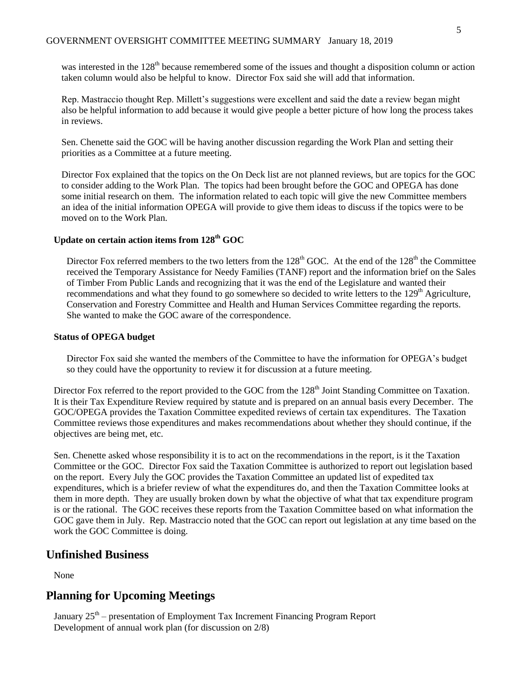was interested in the 128<sup>th</sup> because remembered some of the issues and thought a disposition column or action taken column would also be helpful to know. Director Fox said she will add that information.

Rep. Mastraccio thought Rep. Millett's suggestions were excellent and said the date a review began might also be helpful information to add because it would give people a better picture of how long the process takes in reviews.

Sen. Chenette said the GOC will be having another discussion regarding the Work Plan and setting their priorities as a Committee at a future meeting.

Director Fox explained that the topics on the On Deck list are not planned reviews, but are topics for the GOC to consider adding to the Work Plan. The topics had been brought before the GOC and OPEGA has done some initial research on them. The information related to each topic will give the new Committee members an idea of the initial information OPEGA will provide to give them ideas to discuss if the topics were to be moved on to the Work Plan.

#### **Update on certain action items from 128th GOC**

Director Fox referred members to the two letters from the  $128<sup>th</sup>$  GOC. At the end of the  $128<sup>th</sup>$  the Committee received the Temporary Assistance for Needy Families (TANF) report and the information brief on the Sales of Timber From Public Lands and recognizing that it was the end of the Legislature and wanted their recommendations and what they found to go somewhere so decided to write letters to the 129<sup>th</sup> Agriculture, Conservation and Forestry Committee and Health and Human Services Committee regarding the reports. She wanted to make the GOC aware of the correspondence.

#### **Status of OPEGA budget**

Director Fox said she wanted the members of the Committee to have the information for OPEGA's budget so they could have the opportunity to review it for discussion at a future meeting.

Director Fox referred to the report provided to the GOC from the 128<sup>th</sup> Joint Standing Committee on Taxation. It is their Tax Expenditure Review required by statute and is prepared on an annual basis every December. The GOC/OPEGA provides the Taxation Committee expedited reviews of certain tax expenditures. The Taxation Committee reviews those expenditures and makes recommendations about whether they should continue, if the objectives are being met, etc.

Sen. Chenette asked whose responsibility it is to act on the recommendations in the report, is it the Taxation Committee or the GOC. Director Fox said the Taxation Committee is authorized to report out legislation based on the report. Every July the GOC provides the Taxation Committee an updated list of expedited tax expenditures, which is a briefer review of what the expenditures do, and then the Taxation Committee looks at them in more depth. They are usually broken down by what the objective of what that tax expenditure program is or the rational. The GOC receives these reports from the Taxation Committee based on what information the GOC gave them in July. Rep. Mastraccio noted that the GOC can report out legislation at any time based on the work the GOC Committee is doing.

#### **Unfinished Business**

None

## **Planning for Upcoming Meetings**

January 25<sup>th</sup> – presentation of Employment Tax Increment Financing Program Report Development of annual work plan (for discussion on 2/8)